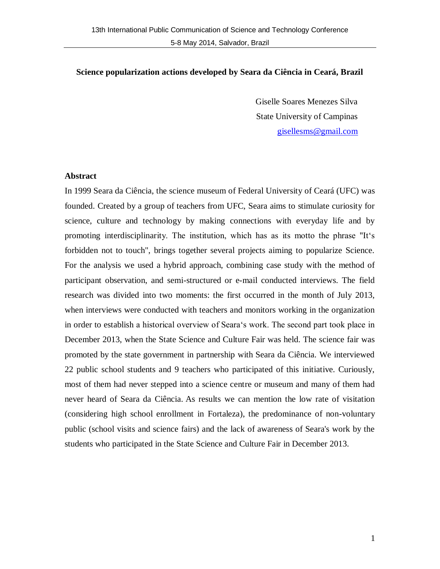## **Science popularization actions developed by Seara da Ciência in Ceará, Brazil**

Giselle Soares Menezes Silva State University of Campinas [gisellesms@gmail.com](mailto:gisellesms@gmail.com)

### **Abstract**

In 1999 Seara da Ciência, the science museum of Federal University of Ceará (UFC) was founded. Created by a group of teachers from UFC, Seara aims to stimulate curiosity for science, culture and technology by making connections with everyday life and by promoting interdisciplinarity. The institution, which has as its motto the phrase "It's forbidden not to touch", brings together several projects aiming to popularize Science. For the analysis we used a hybrid approach, combining case study with the method of participant observation, and semi-structured or e-mail conducted interviews. The field research was divided into two moments: the first occurred in the month of July 2013, when interviews were conducted with teachers and monitors working in the organization in order to establish a historical overview of Seara's work. The second part took place in December 2013, when the State Science and Culture Fair was held. The science fair was promoted by the state government in partnership with Seara da Ciência. We interviewed 22 public school students and 9 teachers who participated of this initiative. Curiously, most of them had never stepped into a science centre or museum and many of them had never heard of Seara da Ciência. As results we can mention the low rate of visitation (considering high school enrollment in Fortaleza), the predominance of non-voluntary public (school visits and science fairs) and the lack of awareness of Seara's work by the students who participated in the State Science and Culture Fair in December 2013.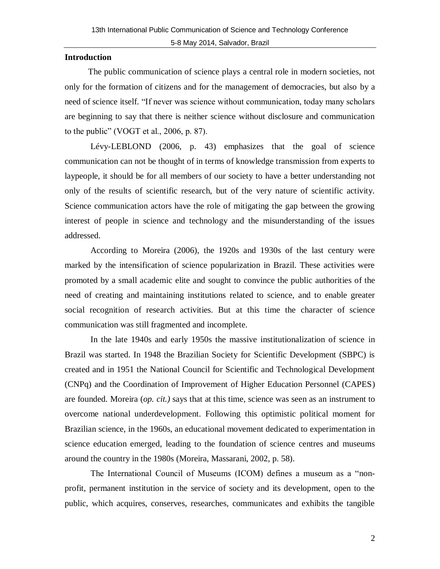## **Introduction**

 The public communication of science plays a central role in modern societies, not only for the formation of citizens and for the management of democracies, but also by a need of science itself. "If never was science without communication, today many scholars are beginning to say that there is neither science without disclosure and communication to the public" (VOGT et al., 2006, p. 87).

Lévy-LEBLOND (2006, p. 43) emphasizes that the goal of science communication can not be thought of in terms of knowledge transmission from experts to laypeople, it should be for all members of our society to have a better understanding not only of the results of scientific research, but of the very nature of scientific activity. Science communication actors have the role of mitigating the gap between the growing interest of people in science and technology and the misunderstanding of the issues addressed.

According to Moreira (2006), the 1920s and 1930s of the last century were marked by the intensification of science popularization in Brazil. These activities were promoted by a small academic elite and sought to convince the public authorities of the need of creating and maintaining institutions related to science, and to enable greater social recognition of research activities. But at this time the character of science communication was still fragmented and incomplete.

In the late 1940s and early 1950s the massive institutionalization of science in Brazil was started. In 1948 the Brazilian Society for Scientific Development (SBPC) is created and in 1951 the National Council for Scientific and Technological Development (CNPq) and the Coordination of Improvement of Higher Education Personnel (CAPES) are founded. Moreira (*op. cit.)* says that at this time, science was seen as an instrument to overcome national underdevelopment. Following this optimistic political moment for Brazilian science, in the 1960s, an educational movement dedicated to experimentation in science education emerged, leading to the foundation of science centres and museums around the country in the 1980s (Moreira, Massarani, 2002, p. 58).

The International Council of Museums (ICOM) defines a museum as a "nonprofit, permanent institution in the service of society and its development, open to the public, which acquires, conserves, researches, communicates and exhibits the tangible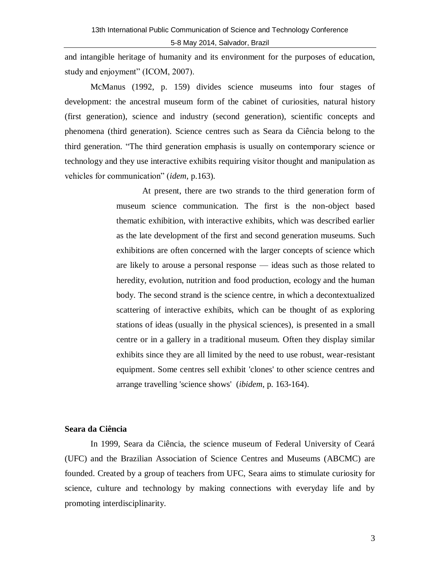and intangible heritage of humanity and its environment for the purposes of education, study and enjoyment" (ICOM, 2007).

McManus (1992, p. 159) divides science museums into four stages of development: the ancestral museum form of the cabinet of curiosities, natural history (first generation), science and industry (second generation), scientific concepts and phenomena (third generation). Science centres such as Seara da Ciência belong to the third generation. ―The third generation emphasis is usually on contemporary science or technology and they use interactive exhibits requiring visitor thought and manipulation as vehicles for communication" *(idem, p.163).* 

> At present, there are two strands to the third generation form of museum science communication. The first is the non-object based thematic exhibition, with interactive exhibits, which was described earlier as the late development of the first and second generation museums. Such exhibitions are often concerned with the larger concepts of science which are likely to arouse a personal response — ideas such as those related to heredity, evolution, nutrition and food production, ecology and the human body. The second strand is the science centre, in which a decontextualized scattering of interactive exhibits, which can be thought of as exploring stations of ideas (usually in the physical sciences), is presented in a small centre or in a gallery in a traditional museum. Often they display similar exhibits since they are all limited by the need to use robust, wear-resistant equipment. Some centres sell exhibit 'clones' to other science centres and arrange travelling 'science shows' (*ibidem*, p. 163-164).

### **Seara da Ciência**

In 1999, Seara da Ciência, the science museum of Federal University of Ceará (UFC) and the Brazilian Association of Science Centres and Museums (ABCMC) are founded. Created by a group of teachers from UFC, Seara aims to stimulate curiosity for science, culture and technology by making connections with everyday life and by promoting interdisciplinarity.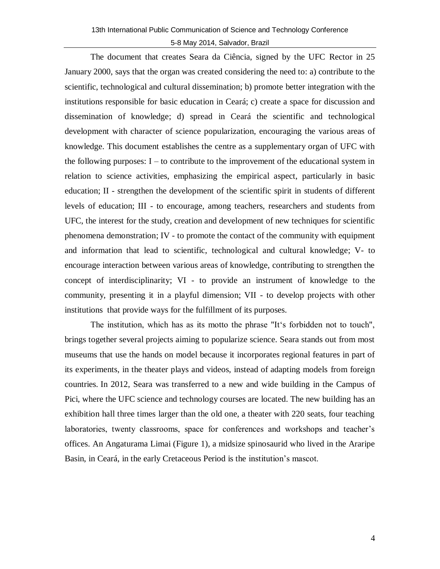The document that creates Seara da Ciência, signed by the UFC Rector in 25 January 2000, says that the organ was created considering the need to: a) contribute to the scientific, technological and cultural dissemination; b) promote better integration with the institutions responsible for basic education in Ceará; c) create a space for discussion and dissemination of knowledge; d) spread in Ceará the scientific and technological development with character of science popularization, encouraging the various areas of knowledge. This document establishes the centre as a supplementary organ of UFC with the following purposes:  $I -$  to contribute to the improvement of the educational system in relation to science activities, emphasizing the empirical aspect, particularly in basic education; II - strengthen the development of the scientific spirit in students of different levels of education; III - to encourage, among teachers, researchers and students from UFC, the interest for the study, creation and development of new techniques for scientific phenomena demonstration; IV - to promote the contact of the community with equipment and information that lead to scientific, technological and cultural knowledge; V- to encourage interaction between various areas of knowledge, contributing to strengthen the concept of interdisciplinarity; VI - to provide an instrument of knowledge to the community, presenting it in a playful dimension; VII - to develop projects with other institutions that provide ways for the fulfillment of its purposes.

The institution, which has as its motto the phrase "It's forbidden not to touch", brings together several projects aiming to popularize science. Seara stands out from most museums that use the hands on model because it incorporates regional features in part of its experiments, in the theater plays and videos, instead of adapting models from foreign countries. In 2012, Seara was transferred to a new and wide building in the Campus of Pici, where the UFC science and technology courses are located. The new building has an exhibition hall three times larger than the old one, a theater with 220 seats, four teaching laboratories, twenty classrooms, space for conferences and workshops and teacher's offices. An Angaturama Limai (Figure 1), a midsize spinosaurid who lived in the Araripe Basin, in Ceará, in the early Cretaceous Period is the institution's mascot.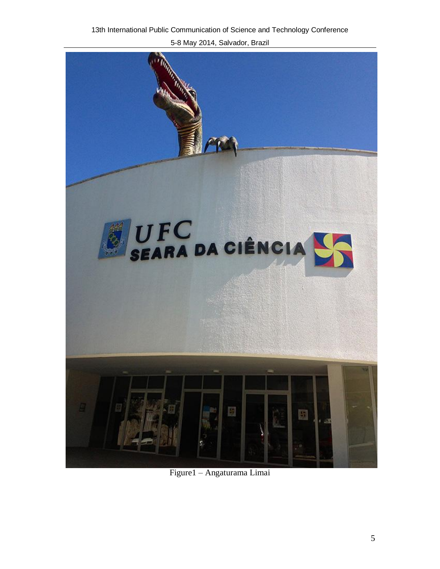

Figure1 – Angaturama Limai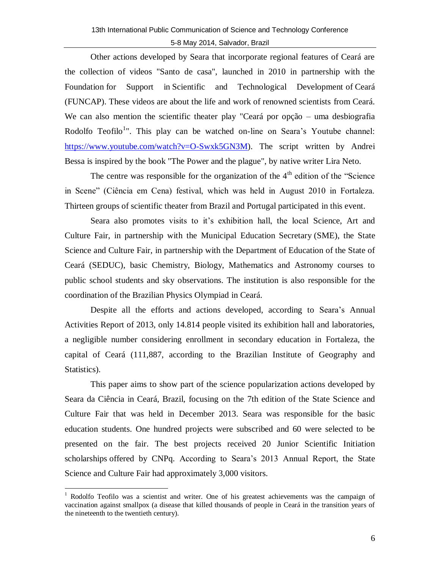Other actions developed by Seara that incorporate regional features of Ceará are the collection of videos "Santo de casa", launched in 2010 in partnership with the Foundation for Support in Scientific and Technological Development of Ceará (FUNCAP). These videos are about the life and work of renowned scientists from Ceará. We can also mention the scientific theater play "Ceará por opção – uma desbiografia Rodolfo Teofilo<sup>1</sup>". This play can be watched on-line on Seara's Youtube channel: [https://www.youtube.com/watch?v=O-Swxk5GN3M\)](https://www.youtube.com/watch?v=O-Swxk5GN3M). The script written by Andrei Bessa is inspired by the book "The Power and the plague", by native writer Lira Neto.

The centre was responsible for the organization of the  $4<sup>th</sup>$  edition of the "Science" in Scene‖ (Ciência em Cena) festival, which was held in August 2010 in Fortaleza. Thirteen groups of scientific theater from Brazil and Portugal participated in this event.

Seara also promotes visits to it's exhibition hall, the local Science, Art and Culture Fair, in partnership with the Municipal Education Secretary (SME), the State Science and Culture Fair, in partnership with the Department of Education of the State of Ceará (SEDUC), basic Chemistry, Biology, Mathematics and Astronomy courses to public school students and sky observations. The institution is also responsible for the coordination of the [Brazilian Physics Olympiad](http://www.sbf1.sbfisica.org.br/olimpiadas/obf2005/resultadofinal_3serie.htm) in Ceará.

Despite all the efforts and actions developed, according to Seara's Annual Activities Report of 2013, only 14.814 people visited its exhibition hall and laboratories, a negligible number considering enrollment in secondary education in Fortaleza, the capital of Ceará (111,887, according to the Brazilian Institute of Geography and Statistics).

This paper aims to show part of the science popularization actions developed by Seara da Ciência in Ceará, Brazil, focusing on the 7th edition of the State Science and Culture Fair that was held in December 2013. Seara was responsible for the basic education students. One hundred projects were subscribed and 60 were selected to be presented on the fair. The best projects received 20 Junior Scientific Initiation scholarships offered by CNPq. According to Seara's 2013 Annual Report, the State Science and Culture Fair had approximately 3,000 visitors.

 $\overline{a}$ <sup>1</sup> Rodolfo Teofilo was a scientist and writer. One of his greatest achievements was the campaign of vaccination against smallpox (a disease that killed thousands of people in Ceará in the transition years of the nineteenth to the twentieth century).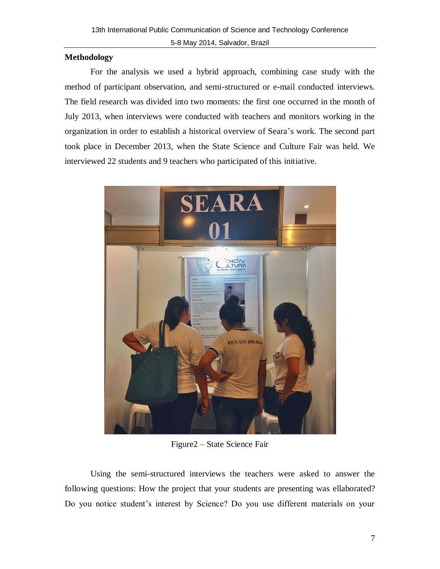# **Methodology**

For the analysis we used a hybrid approach, combining case study with the method of participant observation, and semi-structured or e-mail conducted interviews. The field research was divided into two moments: the first one occurred in the month of July 2013, when interviews were conducted with teachers and monitors working in the organization in order to establish a historical overview of Seara's work. The second part took place in December 2013, when the State Science and Culture Fair was held. We interviewed 22 students and 9 teachers who participated of this initiative.



Figure2 – State Science Fair

Using the semi-structured interviews the teachers were asked to answer the following questions: How the project that your students are presenting was ellaborated? Do you notice student's interest by Science? Do you use different materials on your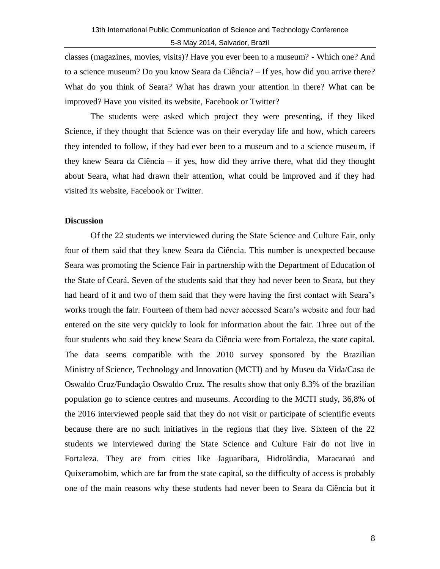classes (magazines, movies, visits)? Have you ever been to a museum? - Which one? And to a science museum? Do you know Seara da Ciência? – If yes, how did you arrive there? What do you think of Seara? What has drawn your attention in there? What can be improved? Have you visited its website, Facebook or Twitter?

The students were asked which project they were presenting, if they liked Science, if they thought that Science was on their everyday life and how, which careers they intended to follow, if they had ever been to a museum and to a science museum, if they knew Seara da Ciência – if yes, how did they arrive there, what did they thought about Seara, what had drawn their attention, what could be improved and if they had visited its website, Facebook or Twitter.

## **Discussion**

Of the 22 students we interviewed during the State Science and Culture Fair, only four of them said that they knew Seara da Ciência. This number is unexpected because Seara was promoting the Science Fair in partnership with the Department of Education of the State of Ceará. Seven of the students said that they had never been to Seara, but they had heard of it and two of them said that they were having the first contact with Seara's works trough the fair. Fourteen of them had never accessed Seara's website and four had entered on the site very quickly to look for information about the fair. Three out of the four students who said they knew Seara da Ciência were from Fortaleza, the state capital. The data seems compatible with the 2010 survey sponsored by the Brazilian Ministry of Science, Technology and Innovation (MCTI) and by Museu da Vida/Casa de Oswaldo Cruz/Fundação Oswaldo Cruz. The results show that only 8.3% of the brazilian population go to science centres and museums. According to the MCTI study, 36,8% of the 2016 interviewed people said that they do not visit or participate of scientific events because there are no such initiatives in the regions that they live. Sixteen of the 22 students we interviewed during the State Science and Culture Fair do not live in Fortaleza. They are from cities like Jaguaribara, Hidrolândia, Maracanaú and Quixeramobim, which are far from the state capital, so the difficulty of access is probably one of the main reasons why these students had never been to Seara da Ciência but it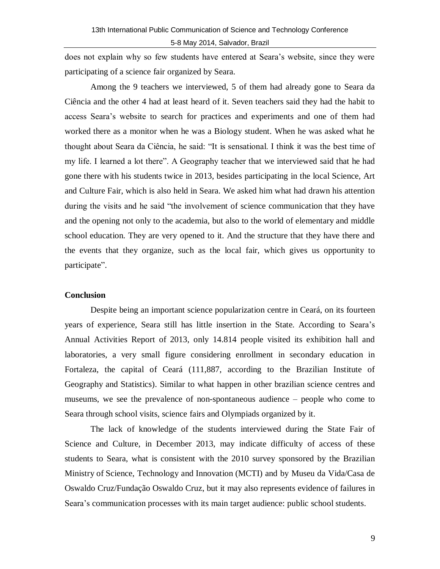does not explain why so few students have entered at Seara's website, since they were participating of a science fair organized by Seara.

Among the 9 teachers we interviewed, 5 of them had already gone to Seara da Ciência and the other 4 had at least heard of it. Seven teachers said they had the habit to access Seara's website to search for practices and experiments and one of them had worked there as a monitor when he was a Biology student. When he was asked what he thought about Seara da Ciência, he said: "It is sensational. I think it was the best time of my life. I learned a lot there". A Geography teacher that we interviewed said that he had gone there with his students twice in 2013, besides participating in the local Science, Art and Culture Fair, which is also held in Seara. We asked him what had drawn his attention during the visits and he said "the involvement of science communication that they have and the opening not only to the academia, but also to the world of elementary and middle school education. They are very opened to it. And the structure that they have there and the events that they organize, such as the local fair, which gives us opportunity to participate".

## **Conclusion**

Despite being an important science popularization centre in Ceará, on its fourteen years of experience, Seara still has little insertion in the State. According to Seara's Annual Activities Report of 2013, only 14.814 people visited its exhibition hall and laboratories, a very small figure considering enrollment in secondary education in Fortaleza, the capital of Ceará (111,887, according to the Brazilian Institute of Geography and Statistics). Similar to what happen in other brazilian science centres and museums, we see the prevalence of non-spontaneous audience – people who come to Seara through school visits, science fairs and Olympiads organized by it.

The lack of knowledge of the students interviewed during the State Fair of Science and Culture, in December 2013, may indicate difficulty of access of these students to Seara, what is consistent with the 2010 survey sponsored by the Brazilian Ministry of Science, Technology and Innovation (MCTI) and by Museu da Vida/Casa de Oswaldo Cruz/Fundação Oswaldo Cruz, but it may also represents evidence of failures in Seara's communication processes with its main target audience: public school students.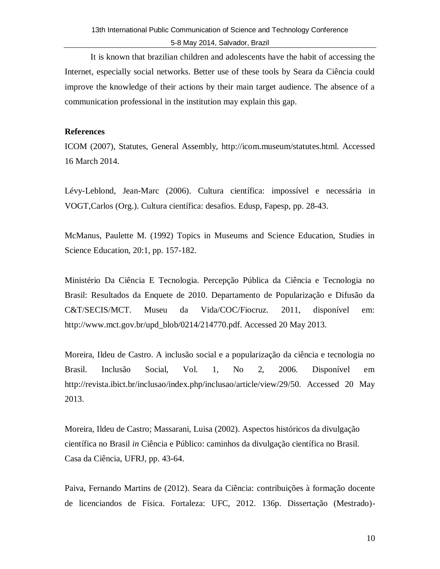It is known that brazilian children and adolescents have the habit of accessing the Internet, especially social networks. Better use of these tools by Seara da Ciência could improve the knowledge of their actions by their main target audience. The absence of a communication professional in the institution may explain this gap.

## **References**

ICOM (2007), Statutes, General Assembly, http://icom.museum/statutes.html. Accessed 16 March 2014.

Lévy-Leblond, Jean-Marc (2006). Cultura científica: impossível e necessária in VOGT,Carlos (Org.). Cultura científica: desafios. Edusp, Fapesp, pp. 28-43.

McManus, Paulette M. (1992) Topics in Museums and Science Education, Studies in Science Education, 20:1, pp. 157-182.

Ministério Da Ciência E Tecnologia. Percepção Pública da Ciência e Tecnologia no Brasil: Resultados da Enquete de 2010. Departamento de Popularização e Difusão da C&T/SECIS/MCT. Museu da Vida/COC/Fiocruz. 2011, disponível em: http://www.mct.gov.br/upd\_blob/0214/214770.pdf. Accessed 20 May 2013.

Moreira, Ildeu de Castro. A inclusão social e a popularização da ciência e tecnologia no Brasil. Inclusão Social, Vol. 1, No 2, 2006. Disponível em http://revista.ibict.br/inclusao/index.php/inclusao/article/view/29/50. Accessed 20 May 2013.

Moreira, Ildeu de Castro; Massarani, Luisa (2002). Aspectos históricos da divulgação científica no Brasil *in* Ciência e Público: caminhos da divulgação científica no Brasil. Casa da Ciência, UFRJ, pp. 43-64.

Paiva, Fernando Martins de (2012). Seara da Ciência: contribuições à formação docente de licenciandos de Física. Fortaleza: UFC, 2012. 136p. Dissertação (Mestrado)-